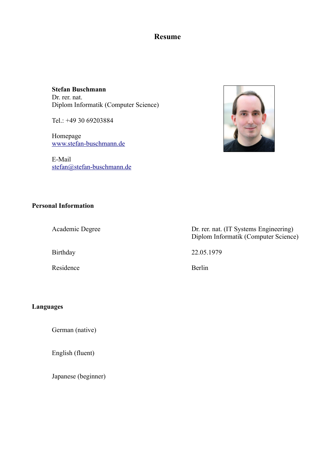### **Resume**

**Stefan Buschmann** Dr. rer. nat. Diplom Informatik (Computer Science)

Tel.: +49 30 69203884

Homepage [www.stefan-buschmann.de](https://www.stefan-buschmann.de/)

E-Mail [stefan@stefan-buschmann.de](mailto:stefan@stefan-buschmann.de)



#### **Personal Information**

Residence Berlin

Academic Degree Dr. rer. nat. (IT Systems Engineering) Diplom Informatik (Computer Science)

Birthday 22.05.1979

#### **Languages**

German (native)

English (fluent)

Japanese (beginner)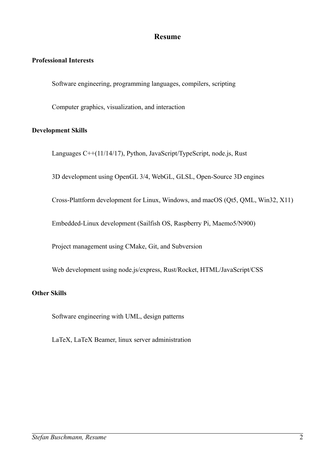## **Resume**

### **Professional Interests**

Software engineering, programming languages, compilers, scripting

Computer graphics, visualization, and interaction

#### **Development Skills**

Languages C++(11/14/17), Python, JavaScript/TypeScript, node.js, Rust

3D development using OpenGL 3/4, WebGL, GLSL, Open-Source 3D engines

Cross-Plattform development for Linux, Windows, and macOS (Qt5, QML, Win32, X11)

Embedded-Linux development (Sailfish OS, Raspberry Pi, Maemo5/N900)

Project management using CMake, Git, and Subversion

Web development using node.js/express, Rust/Rocket, HTML/JavaScript/CSS

#### **Other Skills**

Software engineering with UML, design patterns

LaTeX, LaTeX Beamer, linux server administration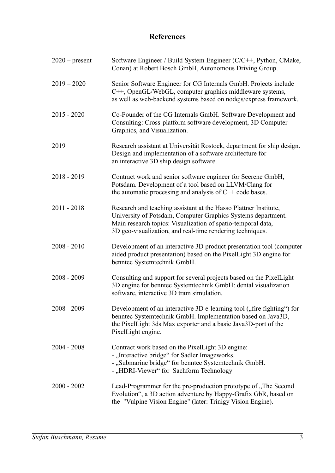## **References**

| $2020$ – present | Software Engineer / Build System Engineer (C/C++, Python, CMake,<br>Conan) at Robert Bosch GmbH, Autonomous Driving Group.                                                                                                                                    |
|------------------|---------------------------------------------------------------------------------------------------------------------------------------------------------------------------------------------------------------------------------------------------------------|
| $2019 - 2020$    | Senior Software Engineer for CG Internals GmbH. Projects include<br>C++, OpenGL/WebGL, computer graphics middleware systems,<br>as well as web-backend systems based on nodejs/express framework.                                                             |
| $2015 - 2020$    | Co-Founder of the CG Internals GmbH. Software Development and<br>Consulting: Cross-platform software development, 3D Computer<br>Graphics, and Visualization.                                                                                                 |
| 2019             | Research assistant at Universität Rostock, department for ship design.<br>Design and implementation of a software architecture for<br>an interactive 3D ship design software.                                                                                 |
| $2018 - 2019$    | Contract work and senior software engineer for Seerene GmbH,<br>Potsdam. Development of a tool based on LLVM/Clang for<br>the automatic processing and analysis of C++ code bases.                                                                            |
| $2011 - 2018$    | Research and teaching assistant at the Hasso Plattner Institute,<br>University of Potsdam, Computer Graphics Systems department.<br>Main research topics: Visualization of spatio-temporal data,<br>3D geo-visualization, and real-time rendering techniques. |
| $2008 - 2010$    | Development of an interactive 3D product presentation tool (computer<br>aided product presentation) based on the PixelLight 3D engine for<br>benntec Systemtechnik GmbH.                                                                                      |
| $2008 - 2009$    | Consulting and support for several projects based on the PixelLight<br>3D engine for benntec Systemtechnik GmbH: dental visualization<br>software, interactive 3D tram simulation.                                                                            |
| 2008 - 2009      | Development of an interactive 3D e-learning tool ("fire fighting") for<br>benntec Systemtechnik GmbH. Implementation based on Java3D,<br>the PixelLight 3ds Max exporter and a basic Java3D-port of the<br>PixelLight engine.                                 |
| $2004 - 2008$    | Contract work based on the PixelLight 3D engine:<br>- "Interactive bridge" for Sadler Imageworks.<br>- "Submarine bridge" for benntec Systemtechnik GmbH.<br>- "HDRI-Viewer" for Sachform Technology                                                          |
| $2000 - 2002$    | Lead-Programmer for the pre-production prototype of "The Second<br>Evolution", a 3D action adventure by Happy-Grafix GbR, based on<br>the "Vulpine Vision Engine" (later: Trinigy Vision Engine).                                                             |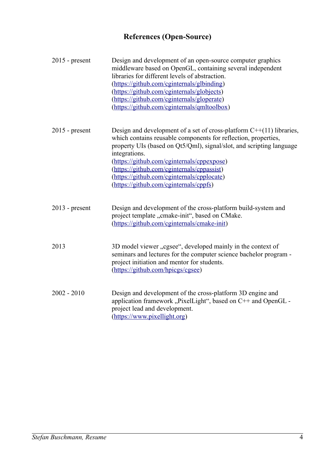# **References (Open-Source)**

| $2015$ - present | Design and development of an open-source computer graphics<br>middleware based on OpenGL, containing several independent<br>libraries for different levels of abstraction.<br>(https://github.com/cginternals/glbinding)<br>(https://github.com/cginternals/globjects)<br>(https://github.com/cginternals/gloperate)<br>(https://github.com/cginternals/qmltoolbox)                                                 |
|------------------|---------------------------------------------------------------------------------------------------------------------------------------------------------------------------------------------------------------------------------------------------------------------------------------------------------------------------------------------------------------------------------------------------------------------|
| $2015$ - present | Design and development of a set of cross-platform C++(11) libraries,<br>which contains reusable components for reflection, properties,<br>property UIs (based on Qt5/Qml), signal/slot, and scripting language<br>integrations.<br>(https://github.com/cginternals/cppexpose)<br>(https://github.com/cginternals/cppassist)<br>(https://github.com/cginternals/cpplocate)<br>(https://github.com/cginternals/cppfs) |
| $2013$ - present | Design and development of the cross-platform build-system and<br>project template "cmake-init", based on CMake.<br>(https://github.com/cginternals/cmake-init)                                                                                                                                                                                                                                                      |
| 2013             | 3D model viewer "cgsee", developed mainly in the context of<br>seminars and lectures for the computer science bachelor program -<br>project initiation and mentor for students.<br>(https://github.com/hpicgs/cgsee)                                                                                                                                                                                                |
| $2002 - 2010$    | Design and development of the cross-platform 3D engine and<br>application framework "PixelLight", based on C++ and OpenGL -<br>project lead and development.<br>(https://www.pixellight.org)                                                                                                                                                                                                                        |